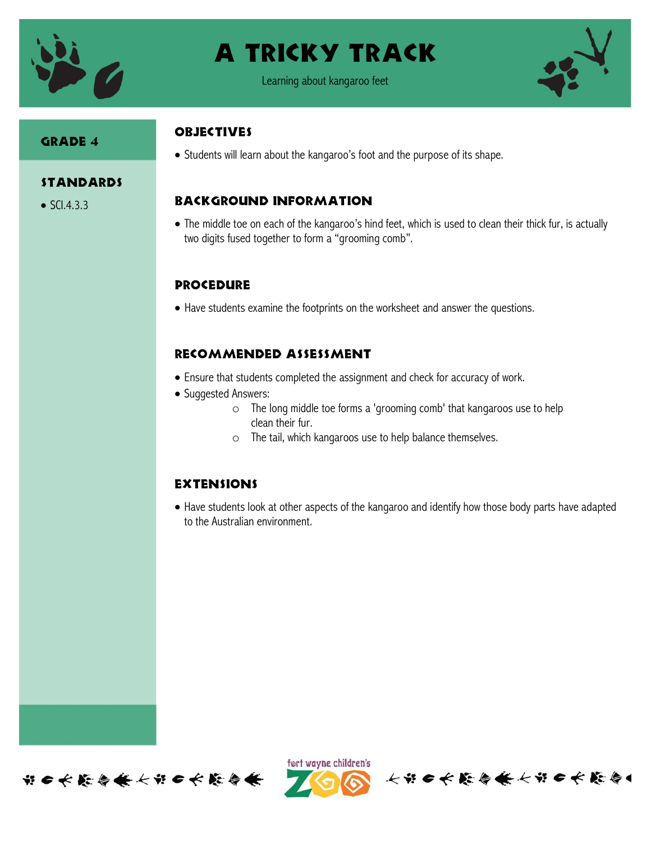

## A tricky track



## Grade 4

## **OBJECTIVES**

• Students will learn about the kangaroo's foot and the purpose of its shape.

#### **STANDARDS**

 $\bullet$  SCI.4.3.3

## Background information

 The middle toe on each of the kangaroo's hind feet, which is used to clean their thick fur, is actually two digits fused together to form a "grooming comb".

## **PROCEDURE**

Have students examine the footprints on the worksheet and answer the questions.

## Recommended assessment

- Ensure that students completed the assignment and check for accuracy of work.
- Suggested Answers:
	- o The long middle toe forms a 'grooming comb' that kangaroos use to help clean their fur.
	- o The tail, which kangaroos use to help balance themselves.

#### **EXTENSIONS**

 Have students look at other aspects of the kangaroo and identify how those body parts have adapted to the Australian environment.





长节日长能与长长节日长能与